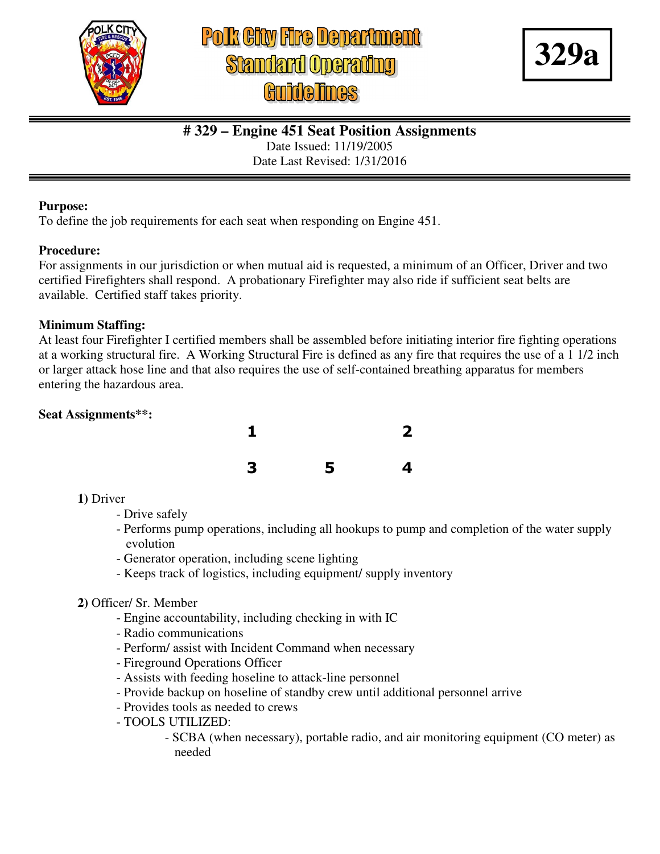

# **Polk City Fire Department Standard Operating**

**329a**

### **# 329 – Engine 451 Seat Position Assignments**  Date Issued: 11/19/2005 Date Last Revised: 1/31/2016

#### **Purpose:**

To define the job requirements for each seat when responding on Engine 451.

#### **Procedure:**

For assignments in our jurisdiction or when mutual aid is requested, a minimum of an Officer, Driver and two certified Firefighters shall respond. A probationary Firefighter may also ride if sufficient seat belts are available. Certified staff takes priority.

### **Minimum Staffing:**

At least four Firefighter I certified members shall be assembled before initiating interior fire fighting operations at a working structural fire. A Working Structural Fire is defined as any fire that requires the use of a 1 1/2 inch or larger attack hose line and that also requires the use of self-contained breathing apparatus for members entering the hazardous area.

### **Seat Assignments\*\*:**



### **1)** Driver

- Drive safely
- Performs pump operations, including all hookups to pump and completion of the water supply evolution
- Generator operation, including scene lighting
- Keeps track of logistics, including equipment/ supply inventory

### **2)** Officer/ Sr. Member

- Engine accountability, including checking in with IC
- Radio communications
- Perform/ assist with Incident Command when necessary
- Fireground Operations Officer
- Assists with feeding hoseline to attack-line personnel
- Provide backup on hoseline of standby crew until additional personnel arrive
- Provides tools as needed to crews
- TOOLS UTILIZED:
	- SCBA (when necessary), portable radio, and air monitoring equipment (CO meter) as needed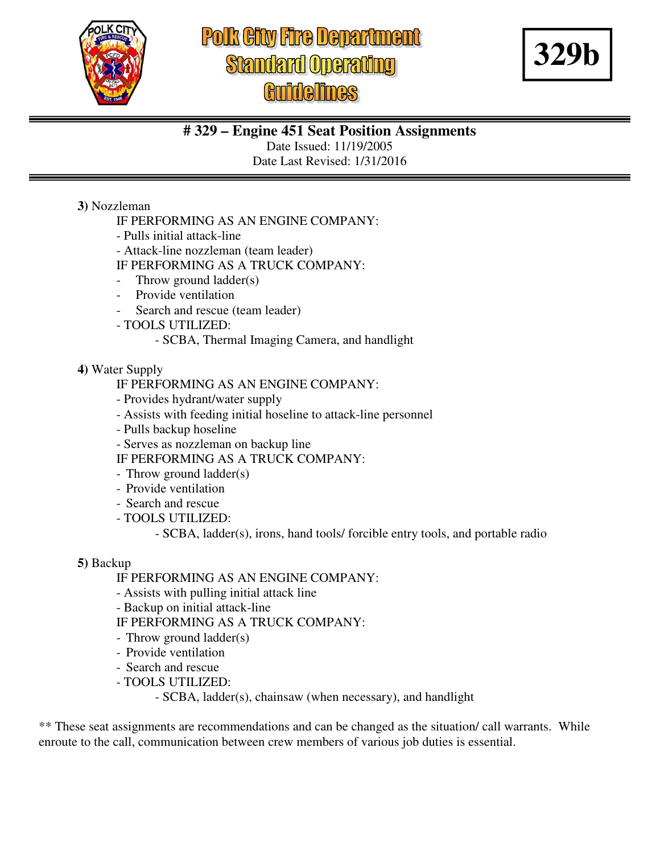

## **Polk City Fire Department Standard Operating Auidelines**



### **# 329 – Engine 451 Seat Position Assignments**

Date Issued: 11/19/2005

Date Last Revised: 1/31/2016

### **3)** Nozzleman

### IF PERFORMING AS AN ENGINE COMPANY:

- Pulls initial attack-line
- Attack-line nozzleman (team leader)
- IF PERFORMING AS A TRUCK COMPANY:
- Throw ground ladder(s)
- Provide ventilation
- Search and rescue (team leader)
- TOOLS UTILIZED:
	- SCBA, Thermal Imaging Camera, and handlight

### **4)** Water Supply

- IF PERFORMING AS AN ENGINE COMPANY:
- Provides hydrant/water supply
- Assists with feeding initial hoseline to attack-line personnel
- Pulls backup hoseline
- Serves as nozzleman on backup line
- IF PERFORMING AS A TRUCK COMPANY:
- Throw ground ladder(s)
- Provide ventilation
- Search and rescue
- TOOLS UTILIZED:
	- SCBA, ladder(s), irons, hand tools/ forcible entry tools, and portable radio

### **5)** Backup

IF PERFORMING AS AN ENGINE COMPANY:

- Assists with pulling initial attack line
- Backup on initial attack-line
- IF PERFORMING AS A TRUCK COMPANY:
- Throw ground ladder(s)
- Provide ventilation
- Search and rescue
- TOOLS UTILIZED:

- SCBA, ladder(s), chainsaw (when necessary), and handlight

\*\* These seat assignments are recommendations and can be changed as the situation/ call warrants. While enroute to the call, communication between crew members of various job duties is essential.